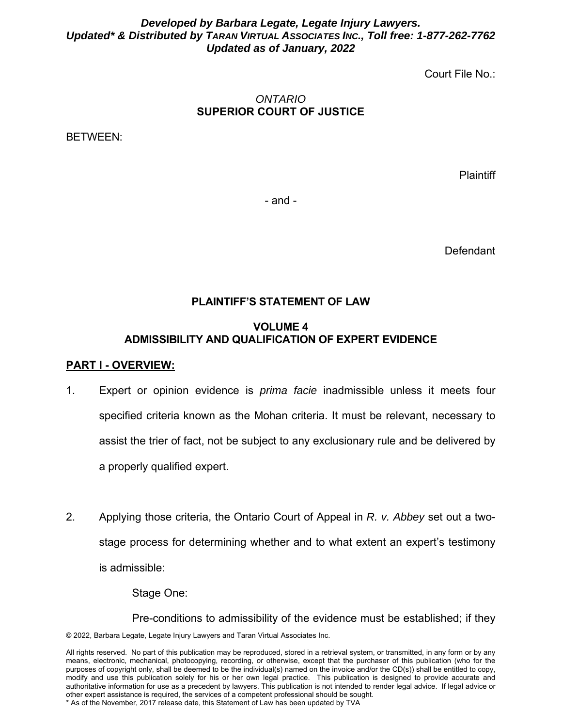### *Developed by Barbara Legate, Legate Injury Lawyers. Updated\* & Distributed by TARAN VIRTUAL ASSOCIATES INC., Toll free: 1-877-262-7762 Updated as of January, 2022*

Court File No.:

## *ONTARIO*  **SUPERIOR COURT OF JUSTICE**

BETWEEN:

**Plaintiff** 

- and -

Defendant

# **PLAINTIFF'S STATEMENT OF LAW**

### **VOLUME 4 ADMISSIBILITY AND QUALIFICATION OF EXPERT EVIDENCE**

#### **PART I - OVERVIEW:**

- 1. Expert or opinion evidence is *prima facie* inadmissible unless it meets four specified criteria known as the Mohan criteria. It must be relevant, necessary to assist the trier of fact, not be subject to any exclusionary rule and be delivered by a properly qualified expert.
- 2. Applying those criteria, the Ontario Court of Appeal in *R. v. Abbey* set out a twostage process for determining whether and to what extent an expert's testimony is admissible:

Stage One:

© 2022, Barbara Legate, Legate Injury Lawyers and Taran Virtual Associates Inc. Pre-conditions to admissibility of the evidence must be established; if they

All rights reserved. No part of this publication may be reproduced, stored in a retrieval system, or transmitted, in any form or by any means, electronic, mechanical, photocopying, recording, or otherwise, except that the purchaser of this publication (who for the purposes of copyright only, shall be deemed to be the individual(s) named on the invoice and/or the CD(s)) shall be entitled to copy, modify and use this publication solely for his or her own legal practice. This publication is designed to provide accurate and authoritative information for use as a precedent by lawyers. This publication is not intended to render legal advice. If legal advice or other expert assistance is required, the services of a competent professional should be sought. \* As of the November, 2017 release date, this Statement of Law has been updated by TVA